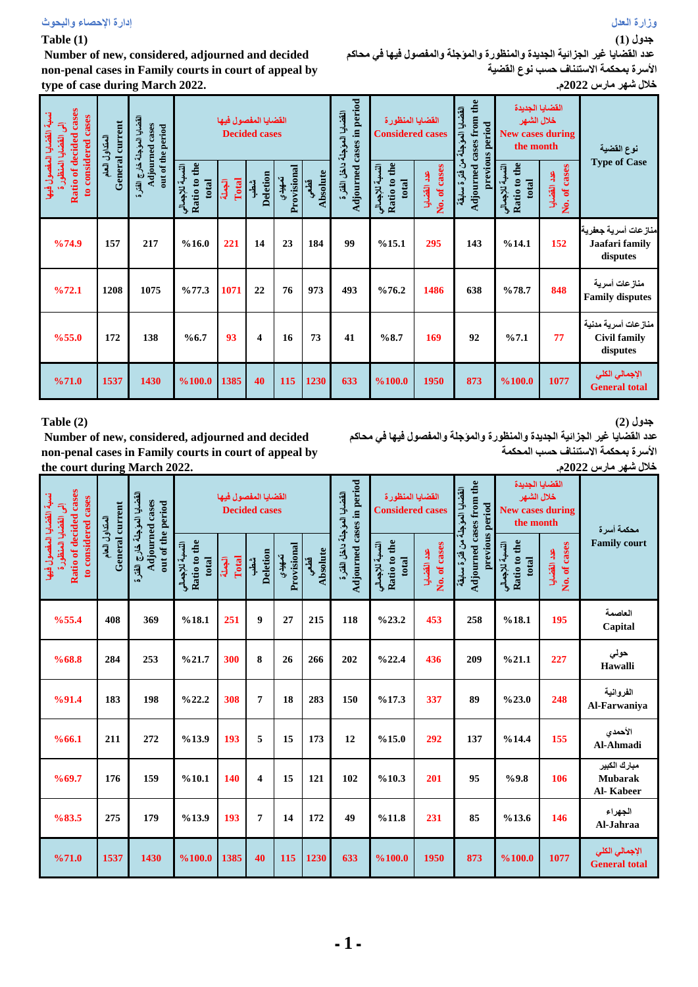#### **Table (1)**

 **Number of new, considered, adjourned and decided non-penal cases in Family courts in court of appeal by type of case during March 2022.**

**عدد القضايا غير الجزائية الجديدة والمنظورة والمؤجلة والمفصول فيها في محاكم األسرة بمحكمة االستئناف حسب نوع القضية**

| نسبة القضايا المفصول فيه<br>cases | Ratio of decided cases<br>القضليا العؤجلة خارج الفقرة<br>General current<br>Adjourned cases<br>out of the period<br>القضايا المنظور<br>المتداول العام |      |                                          | القضايا المفصول فيها | <b>Decided cases</b>    |                       |                  | Adjourned cases in period<br>القضايا المؤجلة داخل الفترة | القضايا المنظورة<br><b>Considered cases</b> |                             | Adjourned cases from the<br>القضايا المؤجلة<br>previous period | القضايا الجديدة<br>خلال الشهر<br><b>New cases during</b><br>the month |                             | نوع القضية                                             |
|-----------------------------------|-------------------------------------------------------------------------------------------------------------------------------------------------------|------|------------------------------------------|----------------------|-------------------------|-----------------------|------------------|----------------------------------------------------------|---------------------------------------------|-----------------------------|----------------------------------------------------------------|-----------------------------------------------------------------------|-----------------------------|--------------------------------------------------------|
| to considered                     |                                                                                                                                                       |      | Ratio to the<br>النسبة للإجمالي<br>total | Total<br>الجعلة      | Deletion<br>شطب         | Provisional<br>تعهيدي | Absolute<br>قطعي |                                                          | Ratio to the<br>النسبة للإجمالي<br>total    | No. of cases<br>عدد القضايا | من فترة سلبقة                                                  | the<br>النسبة للإجمالى<br>Ratio to<br>total                           | No. of cases<br>عدد القضايا | <b>Type of Case</b>                                    |
| %74.9                             | 157                                                                                                                                                   | 217  | %16.0                                    | 221                  | 14                      | 23                    | 184              | 99                                                       | %15.1                                       | 295                         | 143                                                            | %14.1                                                                 | 152                         | منازعات أسرية جعفرية<br>Jaafari family<br>disputes     |
| %72.1                             | 1208                                                                                                                                                  | 1075 | %77.3                                    | 1071                 | 22                      | 76                    | 973              | 493                                                      | %76.2                                       | 1486                        | 638                                                            | %78.7                                                                 | 848                         | منازعات أسرية<br><b>Family disputes</b>                |
| %55.0                             | 172                                                                                                                                                   | 138  | %6.7                                     | 93                   | $\overline{\mathbf{4}}$ | 16                    | 73               | 41                                                       | %8.7                                        | 169                         | 92                                                             | %7.1                                                                  | 77                          | منازعات أسرية مدنية<br><b>Civil family</b><br>disputes |
| %71.0                             | 1537                                                                                                                                                  | 1430 | %100.0                                   | 1385                 | 40                      | 115                   | 1230             | 633                                                      | %100.0                                      | 1950                        | 873                                                            | %100.0                                                                | 1077                        | الإجمالي الكلي<br><b>General total</b>                 |

### **Table (2)**

 **Number of new, considered, adjourned and decided non-penal cases in Family courts in court of appeal by the court during March 2022.**

**جدول )2( عدد القضايا غير الجزائية الجديدة والمنظورة والمؤجلة والمفصول فيها في محاكم األسرة بمحكمة االستئناف حسب المحكمة خالل شهر مارس 2022م.**

| $\overline{\mathcal{L}}$                                                                       | القضايا المؤجلة خارج الفقرة<br>General current<br>المتداول العام |                                      | القضايا المفصول فيها<br><b>Decided cases</b> |                 |                         |                       |                  |                                                          | القضايا المنظورة<br><b>Considered cases</b> |                             |                                                                              | القضايا الجديدة<br>خلال الشهر<br><b>New cases during</b><br>the month |                             | محكمة أسراة                                 |
|------------------------------------------------------------------------------------------------|------------------------------------------------------------------|--------------------------------------|----------------------------------------------|-----------------|-------------------------|-----------------------|------------------|----------------------------------------------------------|---------------------------------------------|-----------------------------|------------------------------------------------------------------------------|-----------------------------------------------------------------------|-----------------------------|---------------------------------------------|
| Ratio of decided cases<br>نسبة القضايا المفصول فيها<br>to considered cases<br>القضايا المنظورة |                                                                  | Adjourned cases<br>out of the period | Ratio to the<br>النسبة للإجمالي<br>total     | Total<br>البصلة | <b>Deletion</b><br>شطن  | Provisional<br>تعهيدي | Absolute<br>قطعي | Adjourned cases in period<br>القضايا المؤجلة داخل الفقرة | Ratio to the<br>النسبة للإجمالي<br>total    | No. of cases<br>عدد القضايا | Adjourned cases from the<br>القضايا المؤجلة من فترة سابقة<br>previous period | Ratio to the<br>النسبة للإجمالي<br>total                              | No. of cases<br>عدد القضايا | <b>Family court</b>                         |
| %55.4                                                                                          | 408                                                              | 369                                  | %18.1                                        | 251             | 9                       | 27                    | 215              | 118                                                      | %23.2                                       | 453                         | 258                                                                          | %18.1                                                                 | 195                         | العاصمة<br>Capital                          |
| %68.8                                                                                          | 284                                                              | 253                                  | %21.7                                        | 300             | 8                       | 26                    | 266              | 202                                                      | %22.4                                       | 436                         | 209                                                                          | %21.1                                                                 | 227                         | حولي<br>Hawalli                             |
| %91.4                                                                                          | 183                                                              | 198                                  | %22.2                                        | 308             | $\overline{7}$          | 18                    | 283              | 150                                                      | %17.3                                       | 337                         | 89                                                                           | %23.0                                                                 | 248                         | الفروانية<br>Al-Farwaniya                   |
| %66.1                                                                                          | 211                                                              | 272                                  | %13.9                                        | 193             | 5                       | 15                    | 173              | 12                                                       | %15.0                                       | 292                         | 137                                                                          | %14.4                                                                 | 155                         | الأحمدى<br>Al-Ahmadi                        |
| %69.7                                                                                          | 176                                                              | 159                                  | %10.1                                        | 140             | $\overline{\mathbf{4}}$ | 15                    | 121              | 102                                                      | %10.3                                       | 201                         | 95                                                                           | %9.8                                                                  | 106                         | مبارك الكبير<br><b>Mubarak</b><br>Al-Kabeer |
| %83.5                                                                                          | 275                                                              | 179                                  | %13.9                                        | 193             | $\overline{7}$          | 14                    | 172              | 49                                                       | %11.8                                       | 231                         | 85                                                                           | %13.6                                                                 | 146                         | الجهراء<br>Al-Jahraa                        |
| %71.0                                                                                          | 1537                                                             | 1430                                 | %100.0                                       | 1385            | 40                      | 115                   | 1230             | 633                                                      | %100.0                                      | 1950                        | 873                                                                          | %100.0                                                                | 1077                        | الإجمالي الكلي<br><b>General total</b>      |

**جدول )1(**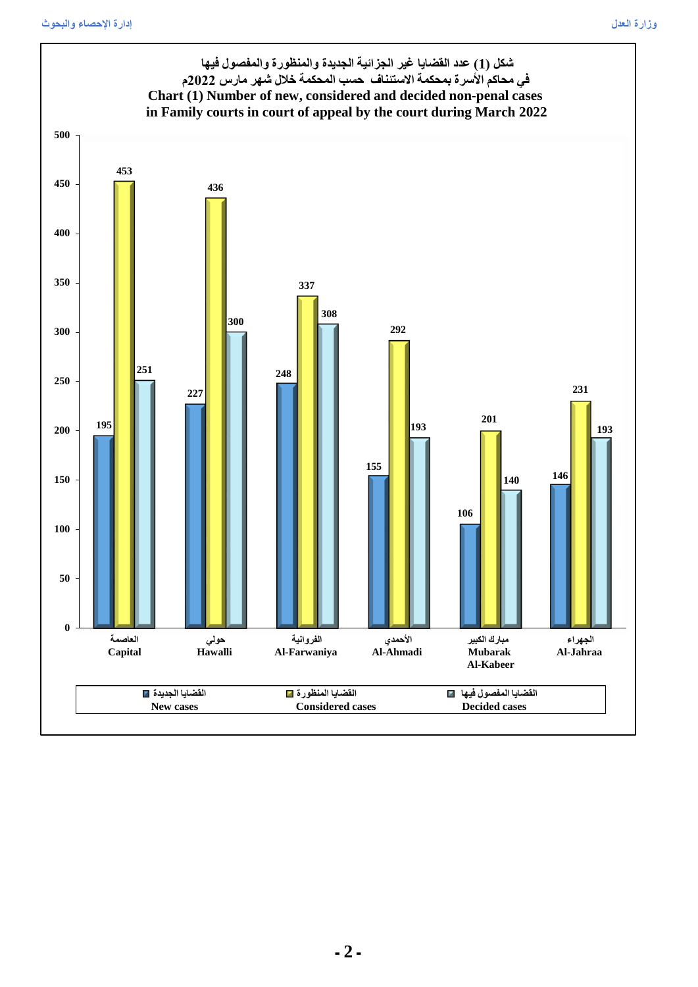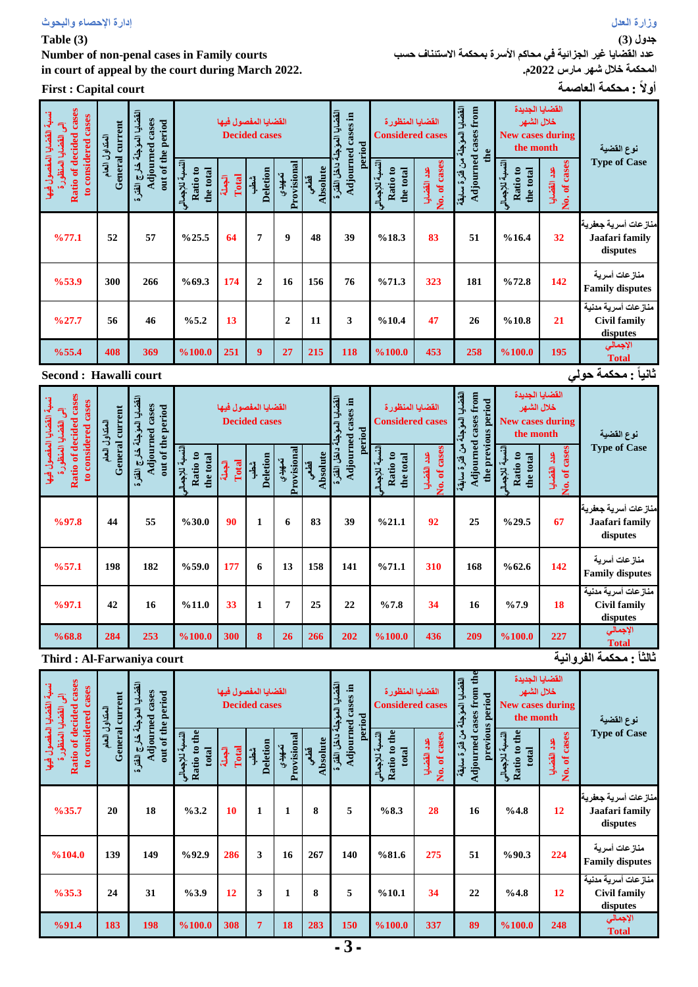**Table (3)** 

**Number of non-penal cases in Family courts in court of appeal by the court during March 2022.**

**أوالً : محكمة العاصمة court Capital : First**

**جدول )3(**

**عدد القضايا غير الجزائية في محاكم األسرة بمحكمة االستئناف حسب المحكمة خالل شهر مارس 2022م.**

| Ratio of decided cases<br>نسبة القضايا المفصول فيها<br>cases<br>$\overline{3}$<br>القضايا المنظورة<br>considered<br>$\mathbf{S}$ | General current<br>المتداول العام                       | القضايا الموجلة<br>Adjourned cases<br>out of the period<br>خارج الفترة | النسبة للإجمال<br>Ratio to<br>the total | القضايا المفصول فيها<br>Total<br>الجعلة | <b>Decided cases</b><br><b>Deletion</b><br>شطب | Provisional<br>تصهيدي | Absolute<br>قطعي | القضايا الموجلة<br>Adjourned cases in<br>period<br>ءَ داخل الفترة | القضايا المنظورة<br><b>Considered cases</b><br>النسبة للإجمال<br>Ratio to<br>the total | No. of cases<br>عدد القضايا | القضايا الموجلة<br>Adjourned cases from<br>the<br>من فقرة سابقة | القضايا الجديدة<br>خلال الشهر<br><b>New cases during</b><br>the month<br>النسبة للإجمال<br>Ratio to<br>the total | No. of cases<br>عدد القضايا | نوع القضية<br><b>Type of Case</b>                      |
|----------------------------------------------------------------------------------------------------------------------------------|---------------------------------------------------------|------------------------------------------------------------------------|-----------------------------------------|-----------------------------------------|------------------------------------------------|-----------------------|------------------|-------------------------------------------------------------------|----------------------------------------------------------------------------------------|-----------------------------|-----------------------------------------------------------------|------------------------------------------------------------------------------------------------------------------|-----------------------------|--------------------------------------------------------|
| %77.1                                                                                                                            | 52                                                      | 57                                                                     | %25.5                                   | 64                                      | $\overline{7}$                                 | 9                     | 48               | 39                                                                | %18.3                                                                                  | 83                          | 51                                                              | %16.4                                                                                                            | 32                          | منازعات أسرية جعفرية<br>Jaafari family<br>disputes     |
| %53.9                                                                                                                            | 300                                                     | 266                                                                    | %69.3                                   | 174                                     | $\overline{2}$                                 | 16                    | 156              | 76                                                                | %71.3                                                                                  | 323                         | 181                                                             | %72.8                                                                                                            | 142                         | منازعات أسرية<br><b>Family disputes</b>                |
| %27.7                                                                                                                            | 56                                                      | 46                                                                     | %5.2                                    | 13                                      |                                                | $\overline{2}$        | 11               | 3                                                                 | %10.4                                                                                  | 47                          | 26                                                              | %10.8                                                                                                            | 21                          | منازعات أسرية مدنية<br><b>Civil family</b><br>disputes |
| %55.4                                                                                                                            | 408                                                     | 369                                                                    | %100.0                                  | 251                                     | 9                                              | 27                    | 215              | 118                                                               | %100.0                                                                                 | 453                         | 258                                                             | %100.0                                                                                                           | 195                         | الإجمالي<br><b>Total</b>                               |
|                                                                                                                                  | تَّانياً : محكمة حول <i>ى</i><br>Second : Hawalli court |                                                                        |                                         |                                         |                                                |                       |                  |                                                                   |                                                                                        |                             |                                                                 |                                                                                                                  |                             |                                                        |

| cases<br>نسبة القضايا المفصول فيها<br>to considered cases<br>$\overline{\mathbf{3}}$<br>القضايا المنظور | General current<br>المتداول العام                     | القضايا العؤجلة خارج القثرة<br>Adjourned cases<br>out of the period |                                         | القضايا المفصول فيها | <b>Decided cases</b>        |                       |                  | القضايا المؤجا<br>cases in<br>period | القضايا المنظورة<br><b>Considered cases</b> |                                          | القضايا<br>Adjourned cases from<br>the previous period<br>العويشلة | القضايا الجديدة<br>خلال الشهر<br><b>New cases during</b><br>the month |                                | نوع القضية                                             |
|---------------------------------------------------------------------------------------------------------|-------------------------------------------------------|---------------------------------------------------------------------|-----------------------------------------|----------------------|-----------------------------|-----------------------|------------------|--------------------------------------|---------------------------------------------|------------------------------------------|--------------------------------------------------------------------|-----------------------------------------------------------------------|--------------------------------|--------------------------------------------------------|
| <b>Ratio of decided</b>                                                                                 |                                                       |                                                                     | النسبة للإجمال<br>Ratio to<br>the total | Total<br>الجعلة      | <b>Deletion</b><br>شط.<br>أ | Provisional<br>تمهيذي | Absolute<br>قطعي | Adjourned<br>داخل الفترة             | النسبة للإجماله<br>Ratio to<br>the total    | No. of cases<br>$\frac{9}{4}$<br>القضايا | من فترة سابقة                                                      | النسبة للإجمال<br>ខ<br>the total<br>Ratio                             | cases<br>عدد القضايا<br>No. of | <b>Type of Case</b>                                    |
| %97.8                                                                                                   | 44                                                    | 55                                                                  | %30.0                                   | 90                   | $\mathbf{1}$                | 6                     | 83               | 39                                   | %21.1                                       | 92                                       | 25                                                                 | %29.5                                                                 | 67                             | منازعات أسرية جعفرية<br>Jaafari family<br>disputes     |
| %57.1                                                                                                   | 198                                                   | 182                                                                 | %59.0                                   | 177                  | 6                           | 13                    | 158              | 141                                  | %71.1                                       | 310                                      | 168                                                                | %62.6                                                                 | 142                            | منازعات أسرية<br><b>Family disputes</b>                |
| %97.1                                                                                                   | 42                                                    | 16                                                                  | %11.0                                   | 33                   | $\mathbf{1}$                | $\overline{7}$        | 25               | 22                                   | %7.8                                        | 34                                       | 16                                                                 | %7.9                                                                  | 18                             | منازعات أسرية مدنية<br><b>Civil family</b><br>disputes |
| %68.8                                                                                                   | 284                                                   | 253                                                                 | %100.0                                  | 300                  | 8                           | 26                    | 266              | 202                                  | %100.0                                      | 436                                      | 209                                                                | %100.0                                                                | 227                            | الإجمالي<br><b>Total</b>                               |
|                                                                                                         | ثالثاً : محكمة الفروانية<br>Third: Al-Farwaniya court |                                                                     |                                         |                      |                             |                       |                  |                                      |                                             |                                          |                                                                    |                                                                       |                                |                                                        |

| Ratio of decided cases<br>نسبة القضايا المفصول فيها<br>to considered cases<br>$\overline{\mathcal{L}}$<br>المتداول العام |                   | current | القضايا العؤجلة خارج النقرة<br><b>Adjourned cases</b><br>out of the period |                                          |                 | القضايا المفصول فيها<br><b>Decided cases</b> |                       |                  | القضايا المؤجلة<br>cases in<br>period | القضايا المنظورة<br><b>Considered cases</b> |                              | Adjourned cases from the<br>القضايا المؤجلة<br>period | خلال الشهر<br><b>New cases during</b><br>the month       | القضايا الجديدة               | نوع القضية                                             |
|--------------------------------------------------------------------------------------------------------------------------|-------------------|---------|----------------------------------------------------------------------------|------------------------------------------|-----------------|----------------------------------------------|-----------------------|------------------|---------------------------------------|---------------------------------------------|------------------------------|-------------------------------------------------------|----------------------------------------------------------|-------------------------------|--------------------------------------------------------|
|                                                                                                                          | القضايا المنظور ذ | General |                                                                            | Ratio to the<br>النسبة للإجمالي<br>total | الجعلة<br>Total | <b>Deletion</b><br>شطب                       | Provisional<br>تمهيدي | Absolute<br>قطعي | Adjourned<br>داخل الفترة              | Ratio to the<br>النسبة للإجمالي<br>total    | No. of cases<br>g<br>القضايا | previous<br>من فترة سلبقة                             | the<br>النسبة للإجمالى<br>$\mathbf{e}$<br>total<br>Ratio | cases<br>عد القضايا<br>No. of | <b>Type of Case</b>                                    |
|                                                                                                                          | %35.7             | 20      | 18                                                                         | %3.2                                     | 10              | $\mathbf{1}$                                 | 1                     | 8                | 5                                     | %8.3                                        | 28                           | 16                                                    | %4.8                                                     | 12                            | منازعات أسرية جعفرية<br>Jaafari family<br>disputes     |
|                                                                                                                          | %104.0            | 139     | 149                                                                        | %92.9                                    | 286             | 3                                            | 16                    | 267              | 140                                   | %81.6                                       | 275                          | 51                                                    | %90.3                                                    | 224                           | منازعات أسرية<br><b>Family disputes</b>                |
|                                                                                                                          | %35.3             | 24      | 31                                                                         | %3.9                                     | 12              | 3                                            | $\mathbf{1}$          | 8                | 5                                     | %10.1                                       | 34                           | 22                                                    | %4.8                                                     | 12                            | منازعات أسرية مدنية<br><b>Civil family</b><br>disputes |
|                                                                                                                          | %91.4             | 183     | 198                                                                        | %100.0                                   | 308             | $\overline{7}$                               | 18                    | 283              | 150                                   | %100.0                                      | 337                          | 89                                                    | %100.0                                                   | 248                           | الإجمالي<br><b>Total</b>                               |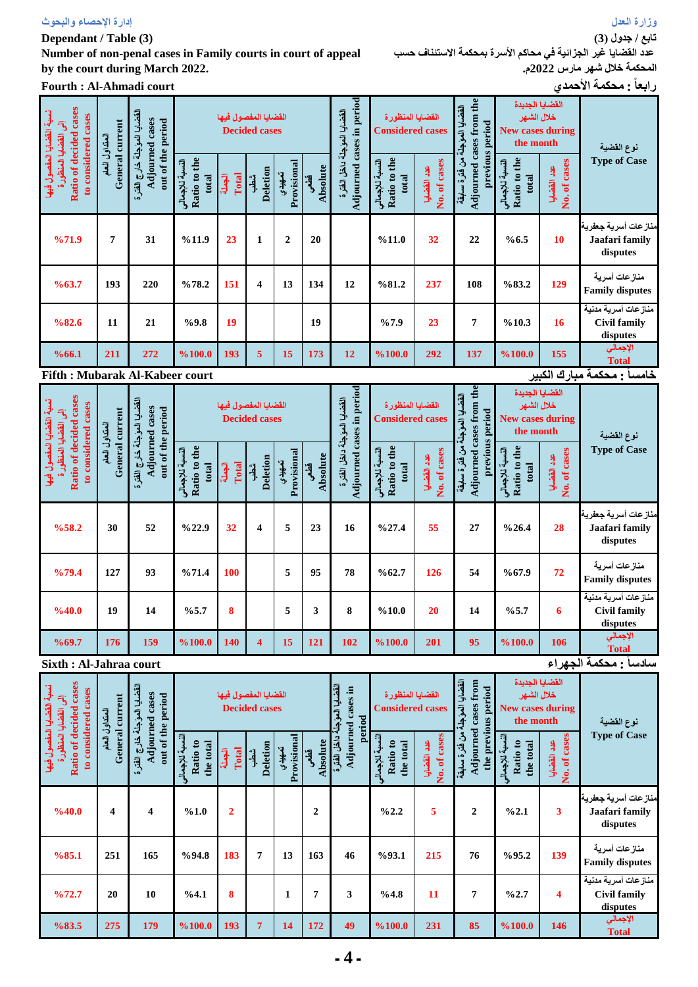### **Dependant / Table (3)**

**Number of non-penal cases in Family courts in court of appeal by the court during March 2022.**

**Fourth : Al-Ahmadi court األحمدي محكمة : ًرابعا**

**تابع / جدول )3(**

**عدد القضايا غير الجزائية في محاكم األسرة بمحكمة االستئناف حسب المحكمة خالل شهر مارس 2022م.**

| Ratio of decided cases<br>القضايا العؤجلة خارج القشرة<br>to considered cases<br>Adjourned cases<br>General current<br>إلى القضايا المنظورة<br>المتداول العام |     |                   |                                          | القضايا المفصول فيها   | <b>Decided cases</b>    |                       |                  |                                                          | القضايا المنظورة<br><b>Considered cases</b> |                             | القضايا المؤجلة<br>period                             | القضايا الجديدة<br>خلال الشهر<br><b>New cases during</b><br>the month |                               | نوع القضية                                             |
|--------------------------------------------------------------------------------------------------------------------------------------------------------------|-----|-------------------|------------------------------------------|------------------------|-------------------------|-----------------------|------------------|----------------------------------------------------------|---------------------------------------------|-----------------------------|-------------------------------------------------------|-----------------------------------------------------------------------|-------------------------------|--------------------------------------------------------|
| نسبة القضايا المفصول فيها                                                                                                                                    |     | out of the period | Ratio to the<br>النسبة للإجمالي<br>total | Total<br>شطب<br>الجعلة | Deletion                | Provisional<br>تعهيدي | Absolute<br>قطعي | Adjourned cases in period<br>القضايا المؤجلة داخل الفقرة | Ratio to the<br>النسبة للإجمالي<br>total    | No. of cases<br>عدد القضايا | Adjourned cases from the<br>previous<br>من فترة سابقة | Ratio to the<br>النسبة للإجمالي<br>total                              | of cases<br>عدد القضايا<br>Ź. | <b>Type of Case</b>                                    |
| %71.9                                                                                                                                                        | 7   | 31                | %11.9                                    | 23                     | $\mathbf{1}$            | $\mathbf{2}$          | 20               |                                                          | %11.0                                       | 32                          | 22                                                    | %6.5                                                                  | 10                            | منازعات أسرية جعفرية<br>Jaafari family<br>disputes     |
| %63.7                                                                                                                                                        | 193 | 220               | %78.2                                    | 151                    | $\overline{\mathbf{4}}$ | 13                    | 134              | 12                                                       | %81.2                                       | 237                         | 108                                                   | %83.2                                                                 | 129                           | منازعات أسرية<br><b>Family disputes</b>                |
| %82.6                                                                                                                                                        | 11  | 21                | %9.8                                     | 19                     |                         |                       | 19               |                                                          | %7.9                                        | 23                          | 7                                                     | %10.3                                                                 | 16                            | منازعات أسرية مدنية<br><b>Civil family</b><br>disputes |
| %66.1                                                                                                                                                        | 211 | 272               | %100.0                                   | 193                    | 5                       | 15                    | 173              | 12                                                       | %100.0                                      | 292                         | 137                                                   | %100.0                                                                | 155<br>لدار المعامل           | الإجمالي<br><b>Total</b>                               |

**Fifth : Mubarak Al-Kabeer court**

**خامساً : محكمة مبارك الكبير**

| cases                                                                                        |                                                  | القضايا العؤجلة خارج الفترة<br>Adjourned cases<br>General current<br>out of the period<br>المتداول العام |                                          |                 | القضايا المفصول فيها<br><b>Decided cases</b> |                       |                         | القضايا المؤجلة داخل الفترة | القضايا المنظورة<br><b>Considered cases</b> |                             | Adjourned cases from the<br>القضايا المؤجلة<br>previous period | القضايا الجديدة<br>خلال الشهر<br><b>New cases during</b><br>the month |                             | نوع القضية                                             |
|----------------------------------------------------------------------------------------------|--------------------------------------------------|----------------------------------------------------------------------------------------------------------|------------------------------------------|-----------------|----------------------------------------------|-----------------------|-------------------------|-----------------------------|---------------------------------------------|-----------------------------|----------------------------------------------------------------|-----------------------------------------------------------------------|-----------------------------|--------------------------------------------------------|
| Ratio of decided cases<br>نسبة القضايا المفصول فيها<br>إلى القضايا المنظورة<br>to considered |                                                  |                                                                                                          | Ratio to the<br>النسبة للإجمالي<br>total | Total<br>الجملة | Deletion<br>شطب                              | Provisional<br>تعهيدي | <b>Absolute</b><br>قطعي | Adjourned cases in period   | Ratio to the<br>النسبة للإجمالي<br>total    | No. of cases<br>عدد القضايا | من فترة سابقة                                                  | Ratio to the<br>النسبة للإجمالي<br>total                              | No. of cases<br>عدد القضايا | <b>Type of Case</b>                                    |
| %58.2                                                                                        | 30                                               | 52                                                                                                       | %22.9                                    | 32              | $\overline{\mathbf{4}}$                      | 5                     | 23                      | 16                          | %27.4                                       | 55                          | 27                                                             | %26.4                                                                 | 28                          | منازعات أسرية جعفرية<br>Jaafari family<br>disputes     |
| %79.4                                                                                        | 127                                              | 93                                                                                                       | %71.4                                    | 100             |                                              | 5                     | 95                      | 78                          | %62.7                                       | 126                         | 54                                                             | %67.9                                                                 | 72                          | منازعات أسرية<br><b>Family disputes</b>                |
| %40.0                                                                                        | 19                                               | 14                                                                                                       | %5.7                                     | 8               |                                              | 5                     | 3                       | 8                           | %10.0                                       | 20                          | 14                                                             | %5.7                                                                  | 6                           | منازعات أسرية مدنية<br><b>Civil family</b><br>disputes |
| %69.7                                                                                        | 176                                              | 159                                                                                                      | %100.0                                   | 140             | $\overline{\mathbf{4}}$                      | 15                    | 121                     | 102                         | %100.0                                      | 201                         | 95                                                             | %100.0                                                                | 106                         | الإجمالي<br><b>Total</b>                               |
|                                                                                              | سادساً : محكمة الجهراء<br>Sixth: Al-Jahraa court |                                                                                                          |                                          |                 |                                              |                       |                         |                             |                                             |                             |                                                                |                                                                       |                             |                                                        |

| cases<br>نسبة القضايا المفصول فيها<br>الى القضايا المنظور ة<br>cases<br>إلى القضايا المنظور | current<br>المتداول العام | القضايا المؤجلة خارج الفترة<br>cases<br>out of the period |                                         |                 | القضايا المفصول فيها<br><b>Decided cases</b> |                       |                  | القضايا المؤجد<br>Adjourned cases in<br>period | القضايا المنظورة<br><b>Considered cases</b> |                                          | القضايا المؤجلة<br>Adjourned cases from<br>the previous period | القضايا الجديدة<br>خلال الشهر<br><b>New cases during</b><br>the month |                                | نوع القضية                                             |
|---------------------------------------------------------------------------------------------|---------------------------|-----------------------------------------------------------|-----------------------------------------|-----------------|----------------------------------------------|-----------------------|------------------|------------------------------------------------|---------------------------------------------|------------------------------------------|----------------------------------------------------------------|-----------------------------------------------------------------------|--------------------------------|--------------------------------------------------------|
| <b>Ratio of decided</b><br>considered<br>$\overline{\mathbf{c}}$                            | General                   | Adjourned                                                 | النسبة للإجمال<br>Ratio to<br>the total | Total<br>آلجيلة | Deletion<br>شك                               | Provisional<br>تعهيدي | Absolute<br>قطعي | ، داخل الفترة                                  | النسبة للإجمالي<br>Ratio to<br>the total    | No. of cases<br>$\frac{9}{4}$<br>القضايا | من فتر ة سابقة                                                 | النسبة للإجمالى<br>ន<br>the total<br>Ratio                            | cases<br>عند القضايا<br>No. of | <b>Type of Case</b>                                    |
| %40.0                                                                                       | $\overline{\mathbf{4}}$   | $\overline{\mathbf{4}}$                                   | %1.0                                    | $\overline{2}$  |                                              |                       | $\mathbf{2}$     |                                                | %2.2                                        | 5                                        | $\mathbf{2}$                                                   | %2.1                                                                  | 3                              | منازعات أسرية جعفرية<br>Jaafari family<br>disputes     |
| %85.1                                                                                       | 251                       | 165                                                       | %94.8                                   | 183             | $\overline{7}$                               | 13                    | 163              | 46                                             | %93.1                                       | 215                                      | 76                                                             | %95.2                                                                 | 139                            | منازعات أسرية<br><b>Family disputes</b>                |
| %72.7                                                                                       | 20                        | 10                                                        | %4.1                                    | $\mathbf{8}$    |                                              | $\mathbf{1}$          | $\overline{7}$   | 3                                              | %4.8                                        | 11                                       | 7                                                              | %2.7                                                                  | 4                              | منازعات أسرية مننية<br><b>Civil family</b><br>disputes |
| %83.5                                                                                       | 275                       | 179                                                       | %100.0                                  | 193             | $\overline{7}$                               | 14                    | 172              | 49                                             | %100.0                                      | 231                                      | 85                                                             | %100.0                                                                | 146                            | الإجمالي<br><b>Total</b>                               |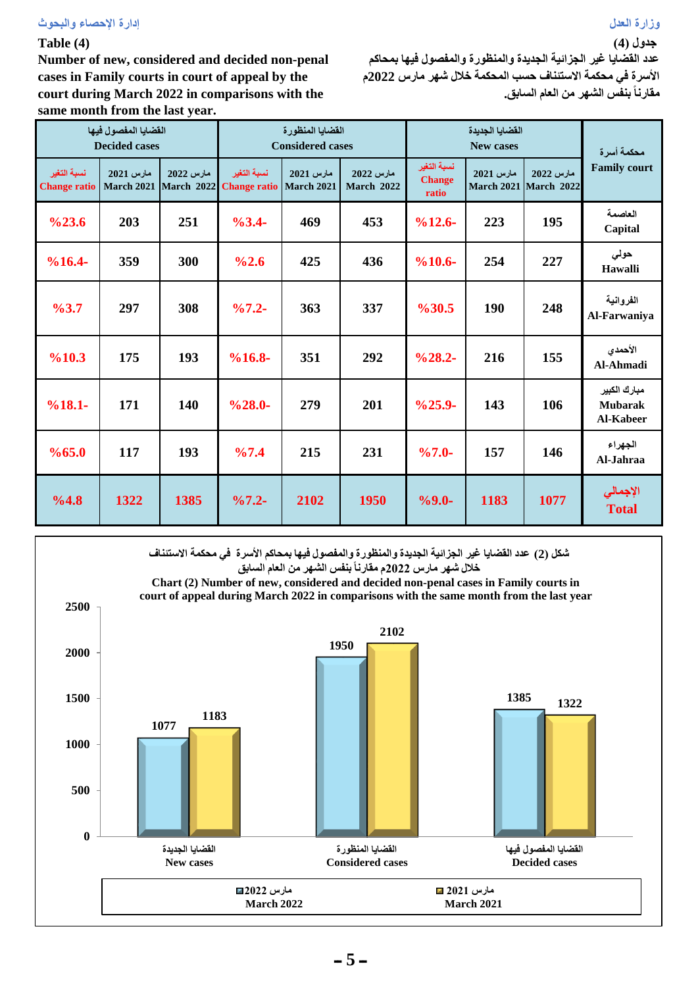## **Table (4)**

**Number of new, considered and decided non-penal cases in Family courts in court of appeal by the court during March 2022 in comparisons with the same month from the last year.**

| عدد القضايا غير الجزائية الجديدة والمنظورة والمفصول فيها بمحاكم |
|-----------------------------------------------------------------|
| الأسرة في محكمة الاستئناف حسب المحكمة خلال شهر مارس 2022م       |
| مقارنـاً بنفس الشـهر من الـعام السـابق.                         |

**جدول )4(**

|                                    | القضايا المفصول فيها<br><b>Decided cases</b> |                         |                                    | القضايا المنظورة<br><b>Considered cases</b> |                                |                                       | القضايا الجديدة<br><b>New cases</b> |                         | محكمة أسرة                                  |  |
|------------------------------------|----------------------------------------------|-------------------------|------------------------------------|---------------------------------------------|--------------------------------|---------------------------------------|-------------------------------------|-------------------------|---------------------------------------------|--|
| نسبة التغير<br><b>Change ratio</b> | مارس 2021<br><b>March 2021</b>               | مارس 2022<br>March 2022 | نسبة التغير<br><b>Change ratio</b> | مارس 2021<br><b>March 2021</b>              | مارس 2022<br><b>March 2022</b> | نسبة التغير<br><b>Change</b><br>ratio | مارس 2021<br><b>March 2021</b>      | مارس 2022<br>March 2022 | <b>Family court</b>                         |  |
| $\frac{623.6}{ }$                  | 203                                          | 251                     | $\frac{9}{6}3.4$ -                 | 469                                         | 453                            | $%12.6-$                              | 223                                 | 195                     | العاصمة<br>Capital                          |  |
| $%16.4-$                           | 359                                          | 300                     | %2.6                               | 425                                         | 436                            | $%10.6-$                              | 254                                 | 227                     | حولى<br>Hawalli                             |  |
| %3.7                               | 297                                          | 308                     | $\frac{9}{67.2}$ -                 | 363                                         | 337                            | %30.5                                 | <b>190</b>                          | 248                     | الفروانية<br>Al-Farwaniya                   |  |
| %10.3                              | 175                                          | 193                     | $%16.8-$                           | 351                                         | 292                            | $\frac{0}{28.2}$                      | 216                                 | 155                     | الأحمدي<br>Al-Ahmadi                        |  |
| $%18.1-$                           | 171                                          | 140                     | $\frac{628.0}{ }$                  | 279                                         | 201                            | $\frac{625.9}{ }$                     | 143                                 | 106                     | مبارك الكبير<br><b>Mubarak</b><br>Al-Kabeer |  |
| %65.0                              | 117                                          | 193                     | %7.4                               | 215                                         | 231                            | $%7.0-$                               | 157                                 | 146                     | الجهراء<br>Al-Jahraa                        |  |
| %4.8                               | 1322                                         | 1385                    | $\frac{9}{67.2}$ -                 | 2102                                        | 1950                           | $%9.0-$                               | 1183                                | 1077                    | الإجمالي<br><b>Total</b>                    |  |